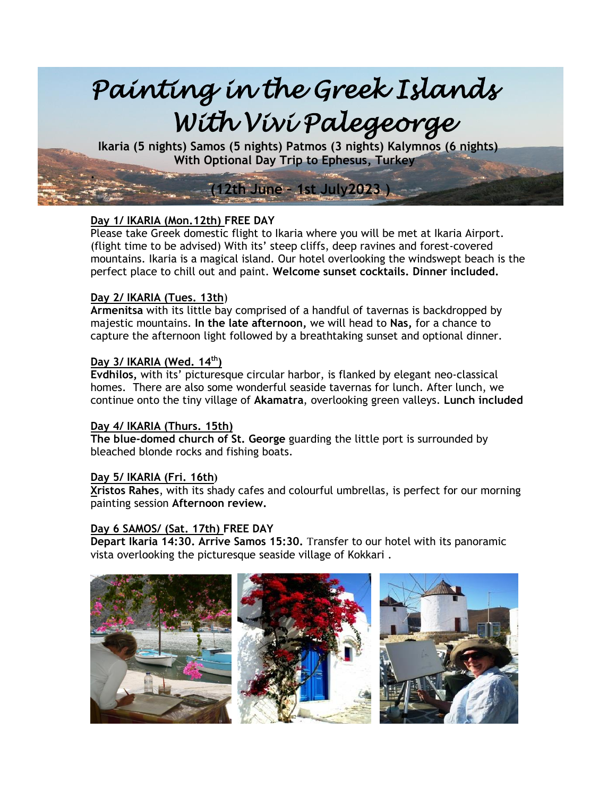

## **Day 1/ IKARIA (Mon.12th) FREE DAY**

Please take Greek domestic flight to Ikaria where you will be met at Ikaria Airport. (flight time to be advised) With its' steep cliffs, deep ravines and forest-covered mountains. Ikaria is a magical island. Our hotel overlooking the windswept beach is the perfect place to chill out and paint. **Welcome sunset cocktails. Dinner included.**

#### **Day 2/ IKARIA (Tues. 13th**)

**Armenitsa** with its little bay comprised of a handful of tavernas is backdropped by majestic mountains. **In the late afternoon,** we will head to **Nas,** for a chance to capture the afternoon light followed by a breathtaking sunset and optional dinner.

# **Day 3/ IKARIA (Wed. 14 th)**

**Evdhilos,** with its' picturesque circular harbor, is flanked by elegant neo-classical homes. There are also some wonderful seaside tavernas for lunch. After lunch, we continue onto the tiny village of **Akamatra**, overlooking green valleys. **Lunch included**

### **Day 4/ IKARIA (Thurs. 15th)**

**The blue-domed church of St. George** guarding the little port is surrounded by bleached blonde rocks and fishing boats.

#### **Day 5/ IKARIA (Fri. 16th)**

**Xristos Rahes**, with its shady cafes and colourful umbrellas, is perfect for our morning painting session **Afternoon review.** 

#### **Day 6 SAMOS/ (Sat. 17th) FREE DAY**

**Depart Ikaria 14:30. Arrive Samos 15:30.** Transfer to our hotel with its panoramic vista overlooking the picturesque seaside village of Kokkari .

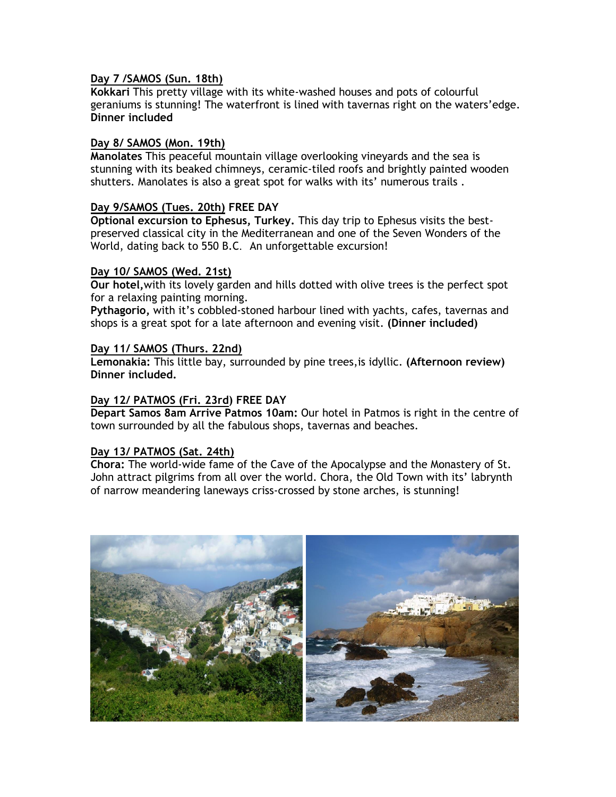### **Day 7 /SAMOS (Sun. 18th)**

**Kokkari** This pretty village with its white-washed houses and pots of colourful geraniums is stunning! The waterfront is lined with tavernas right on the waters'edge. **Dinner included**

### **Day 8/ SAMOS (Mon. 19th)**

**Manolates** This peaceful mountain village overlooking vineyards and the sea is stunning with its beaked chimneys, ceramic-tiled roofs and brightly painted wooden shutters. Manolates is also a great spot for walks with its' numerous trails .

### **Day 9/SAMOS (Tues. 20th) FREE DAY**

**Optional excursion to Ephesus, Turkey.** This day trip to Ephesus visits the bestpreserved classical city in the Mediterranean and one of the Seven Wonders of the World, dating back to 550 B.C. An unforgettable excursion!

#### **Day 10/ SAMOS (Wed. 21st)**

**Our hotel,**with its lovely garden and hills dotted with olive trees is the perfect spot for a relaxing painting morning.

**Pythagorio,** with it's cobbled-stoned harbour lined with yachts, cafes, tavernas and shops is a great spot for a late afternoon and evening visit. **(Dinner included)**

### **Day 11/ SAMOS (Thurs. 22nd)**

**Lemonakia:** This little bay, surrounded by pine trees,is idyllic. **(Afternoon review) Dinner included.**

## **Day 12/ PATMOS (Fri. 23rd) FREE DAY**

**Depart Samos 8am Arrive Patmos 10am:** Our hotel in Patmos is right in the centre of town surrounded by all the fabulous shops, tavernas and beaches.

#### **Day 13/ PATMOS (Sat. 24th)**

**Chora:** The world-wide fame of the Cave of the Apocalypse and the Monastery of St. John attract pilgrims from all over the world. Chora, the Old Town with its' labrynth of narrow meandering laneways criss-crossed by stone arches, is stunning!